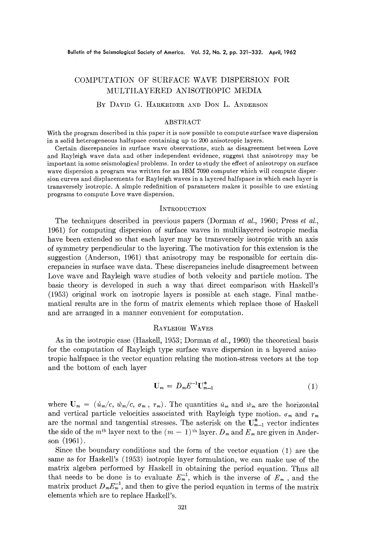# COMPUTATION OF SURFACE WAVE DISPERSION FOR MULTILAYERED ANISOTROPIC MEDIA

## BY DAVID G. HARKRIDER AND DON L. ANDERSON

#### ABSTRACT

With the program described in this paper it is now possible to compute surface wave dispersion in a solid heterogeneous halfspace containing up to 200 anisotropic layers.

Certain discrepancies in surface wave observations, such as disagreement between Love and Rayleigh wave data and other independent evidence, suggest that anisotropy may be important in some seismological problems. In order to study the effect of anisotropy on surface wave dispersion a program was written for an IBM 7090 computer which will compute disper- sion curves and displacements for Rayleigh waves in a layered halfspaee in which each layer is transversely isotropie. A simple redefinition of parameters makes it possible to use existing programs to compute Love wave dispersion.

#### INTRODUCTION

The techniques described in previous papers (Dorman *et al.,* 1960; Press *et al.,*  1961) for computing dispersion of surface waves in multilayered isotropic media have been extended so that each layer may be transversely isotropie with an axis of symmetry perpendicular to the layering. The motivation for this extension is the suggestion (Anderson, 1961) that anisotropy may be responsible for certain discrepaneies in surface wave data. These discrepancies include disagreement between Love wave and Rayleigh wave studies of both velocity and particle motion. The basic theory is developed in such a way that direct comparison with Itaskell's (1953) original work on isotropie layers is possible at each stage. Final mathematical results are in the form of matrix elements which replace those of Haskell and are arranged in a manner convenient for computation.

#### RAYLEI@H WAVES

As in the isotropic case (Haskell, 1953; Dorman *et al.,* 1960) the theoretical basis for the computation of Rayleigh type surface wave dispersion in a layered aniso tropic halfspace is the vector equation relating the motion-stress vectors at the top and the bottom of each layer

$$
\mathbf{U}_m = D_m E^{-1} \mathbf{U}_{m-1}^* \tag{1}
$$

where  $\mathbf{U}_m = (u_m/c, w_m/c, \sigma_m, \tau_m)$ . The quantities  $\dot{u}_m$  and  $\dot{w}_m$  are the horizontal and vertical particle velocities associated with Rayleigh type motion.  $\sigma_m$  and  $\tau_m$ are the normal and tangential stresses. The asterisk on the  $U^*_{m-1}$  vector indicates the side of the m<sup>th</sup> layer next to the  $(m - 1)$ <sup>th</sup> layer.  $D_m$  and  $E_m$  are given in Anderson (1961).

Since the boundary conditions and the form of the vector equation (1) are the same as for Haskell's (1953) isotropic layer formulation, we can make use of the matrix algebra performed by Haskell in obtaining the period equation. Thus all that needs to be done is to evaluate  $E_m^{-1}$ , which is the inverse of  $E_m$ , and the matrix product  $D_m E_m^{-1}$ , and then to give the period equation in terms of the matrix elements which are to replace Haskell's.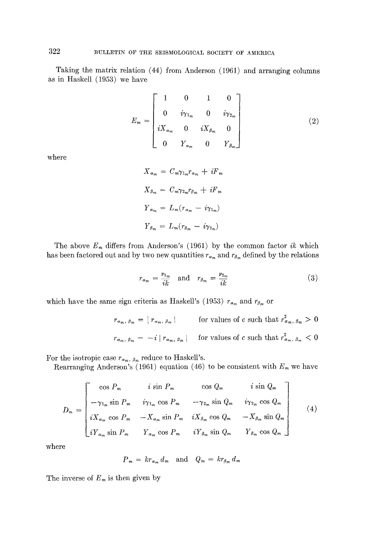Taking the matrix relation (44) from Anderson (1961) and arranging columns as in Haskell (1953) we have

$$
E_m = \begin{bmatrix} 1 & 0 & 1 & 0 \\ 0 & i\gamma_{1_m} & 0 & i\gamma_{2_m} \\ iX_{\alpha_m} & 0 & iX_{\beta_m} & 0 \\ 0 & Y_{\alpha_m} & 0 & Y_{\beta_m} \end{bmatrix}
$$
(2)

where

$$
X_{\alpha_m} = C_m \gamma_{1_m} r_{\alpha_m} + iF_m
$$
  

$$
X_{\beta_m} = C_m \gamma_{2_m} r_{\beta_m} + iF_m
$$
  

$$
Y_{\alpha_m} = L_m (r_{\alpha_m} - i\gamma_{1_m})
$$
  

$$
Y_{\beta_m} = L_m (r_{\beta_m} - i\gamma_{2_m})
$$

The above  $E_m$  differs from Anderson's (1961) by the common factor  $ik$  which has been factored out and by two new quantities  $r_{\alpha_m}$  and  $r_{\beta_m}$  defined by the relations

$$
r_{\alpha_m} = \frac{\nu_{1_m}}{ik} \quad \text{and} \quad r_{\beta_m} = \frac{\nu_{2_m}}{ik} \tag{3}
$$

which have the same sign criteria as Haskell's (1953)  $r_{\alpha_m}$  and  $r_{\beta_m}$  or

$$
r_{\alpha_m, \beta_m} = |r_{\alpha_m, \beta_m}|
$$
 for values of c such that  $r_{\alpha_m, \beta_m}^2 > 0$   

$$
r_{\alpha_m, \beta_m} = -i |r_{\alpha_m, \beta_m}|
$$
 for values of c such that  $r_{\alpha_m, \beta_m}^2 < 0$ 

For the isotropic case  $r_{\alpha_m, \beta_m}$  reduce to Haskell's.

Rearranging Anderson's (1961) equation (46) to be consistent with  $E_m$  we have

$$
D_m = \begin{bmatrix} \cos P_m & i \sin P_m & \cos Q_m & i \sin Q_m \\ -\gamma_{1_m} \sin P_m & i \gamma_{1_m} \cos P_m & -\gamma_{2_m} \sin Q_m & i \gamma_{2_m} \cos Q_m \\ i X_{\alpha_m} \cos P_m & -X_{\alpha_m} \sin P_m & i X_{\beta_m} \cos Q_m & -X_{\beta_m} \sin Q_m \\ i Y_{\alpha_m} \sin P_m & Y_{\alpha_m} \cos P_m & i Y_{\beta_m} \sin Q_m & Y_{\beta_m} \cos Q_m \end{bmatrix}
$$
(4)

where

$$
P_m = kr_{\alpha_m} d_m \text{ and } Q_m = kr_{\beta_m} d_m
$$

The inverse of  $E_m$  is then given by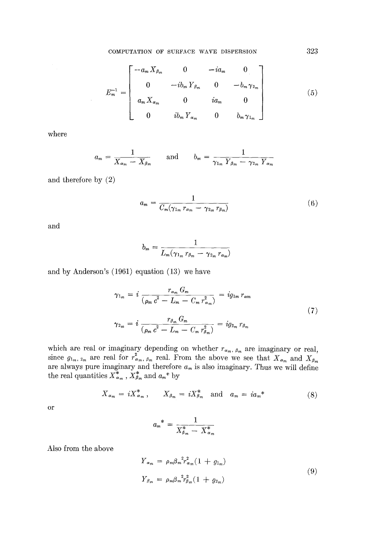COMPUTATION OF SURFACE WAVE DISPERSION 323

$$
E_m^{-1} = \begin{bmatrix} -a_m X_{\beta_m} & 0 & -ia_m & 0 \\ 0 & -ib_m Y_{\beta_m} & 0 & -b_m \gamma_{2_m} \\ a_m X_{\alpha_m} & 0 & ia_m & 0 \\ 0 & ib_m Y_{\alpha_m} & 0 & b_m \gamma_{1_m} \end{bmatrix}
$$
(5)

where

$$
a_m = \frac{1}{X_{\alpha_m} - X_{\beta_m}} \quad \text{and} \quad b_m = \frac{1}{\gamma_{1_m} Y_{\beta_m} - \gamma_{2_m} Y_{\alpha_m}}
$$

and therefore by (2)

$$
a_m = \frac{1}{C_m(\gamma_{1_m} r_{\alpha_m} - \gamma_{2_m} r_{\beta_m})}
$$
(6)

and

$$
b_m = \frac{1}{L_m(\gamma_{1_m} r_{\beta_m} - \gamma_{2_m} r_{\alpha_m})}
$$

and by Anderson's (1961) equation (13) we have

$$
\gamma_{1_m} = i \frac{r_{\alpha_m} G_m}{(\rho_m c^2 - L_m - C_m r_{\alpha_m}^2)} = i g_{1m} r_{\alpha m}
$$
  

$$
\gamma_{2_m} = i \frac{r_{\beta_m} G_m}{(\rho_m c^2 - L_m - C_m r_{\beta_m}^2)} = i g_{2_m} r_{\beta_m}
$$
 (7)

which are real or imaginary depending on whether  $r_{\alpha_m, \beta_m}$  are imaginary or real, since  $g_{1_m, 2_m}$  are real for  $r_{\alpha_m, \beta_m}^*$  real. From the above we see that  $X_{\alpha_m}$  and  $X_{\beta_m}$ are always pure imaginary and therefore  $a_m$  is also imaginary. Thus we will define the real quantities  $X^*_{\alpha_m}$ ,  $X^*_{\beta_m}$  and  $a_m^*$  by

$$
X_{\alpha_m} = iX_{\alpha_m}^*, \qquad X_{\beta_m} = iX_{\beta_m}^* \quad \text{and} \quad a_m = i a_m^* \tag{8}
$$

or

$$
a_m^* = \frac{1}{X_{\beta_m}^* - X_{\alpha_m}^*}
$$

Also from the above

$$
Y_{\alpha_m} = \rho_m \beta_m^2 r_{\alpha_m}^2 (1 + g_{1_m})
$$
  
\n
$$
Y_{\beta_m} = \rho_m \beta_m^2 r_{\beta_m}^2 (1 + g_{2_m})
$$
\n(9)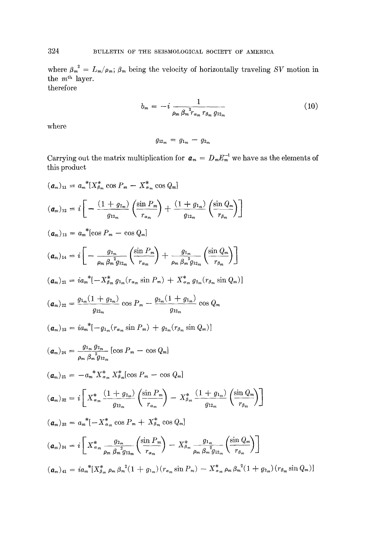where  $\beta_m^2 = L_m / \rho_m$ ;  $\beta_m$  being the velocity of horizontally traveling *SV* motion in the  $m<sup>th</sup>$  layer. therefore

$$
b_m = -i \frac{1}{\rho_m \beta_m^2 r_{\alpha_m} r_{\beta_m} g_{12_m}}
$$
 (10)

where

$$
g_{12_m} = g_{1_m} - g_{2_m}
$$

Carrying out the matrix multiplication for  $a_m = D_m E_m^{-1}$  we have as the elements of this product

$$
(a_{m})_{11} = a_{m}^{*1} [X_{m}^{*} \cos P_{m} - X_{m}^{*} \cos Q_{m}]
$$
\n
$$
(a_{m})_{12} = i \left[ -\frac{(1+g_{2m})}{g_{12m}} \left( \frac{\sin P_{m}}{r_{\alpha_{m}}} \right) + \frac{(1+g_{1m})}{g_{12m}} \left( \frac{\sin Q_{m}}{r_{\beta_{m}}} \right) \right]
$$
\n
$$
(a_{m})_{13} = a_{m}^{*} [\cos P_{m} - \cos Q_{m}]
$$
\n
$$
(a_{m})_{14} = i \left[ -\frac{g_{2m}}{\rho_{m} \beta_{m}^{2} g_{12m}} \left( \frac{\sin P_{m}}{r_{\alpha_{m}}} \right) + \frac{g_{1m}}{\rho_{m} \beta_{m}^{2} g_{12m}} \left( \frac{\sin Q_{m}}{r_{\beta_{m}}} \right) \right]
$$
\n
$$
(a_{m})_{21} = ia_{m}^{*} [-X_{\beta_{m}}^{*} g_{1m} (r_{\alpha_{m}} \sin P_{m}) + X_{\alpha_{m}}^{*} g_{2m} (r_{\beta_{m}} \sin Q_{m})]
$$
\n
$$
(a_{m})_{22} = \frac{g_{1m} (1+g_{2m})}{g_{12m}} \cos P_{m} - \frac{g_{2m} (1+g_{1m})}{g_{12m}} \cos Q_{m}
$$
\n
$$
(a_{m})_{23} = ia_{m}^{*} [-g_{1m} (r_{\alpha_{m}} \sin P_{m}) + g_{2m} (r_{\beta_{m}} \sin Q_{m})]
$$
\n
$$
(a_{m})_{24} = \frac{g_{1m} g_{2m}}{\rho_{m} \beta_{m}^{2} g_{12m}} [\cos P_{m} - \cos Q_{m}]
$$
\n
$$
(a_{m})_{21} = -a_{m}^{*} X_{\alpha_{m}}^{*} X_{\beta_{m}}^{*} [\cos P_{m} - \cos Q_{m}]
$$
\n
$$
(a_{m})_{22} = i \left[ X_{\alpha_{m}}^{*} \frac{(1+g_{2m})}{g_{12m}} \left( \frac{\sin P_{m}}{r_{\alpha_{m}}} \right) - X_{\beta_{m}}^{*} \frac{(1+g_{1m
$$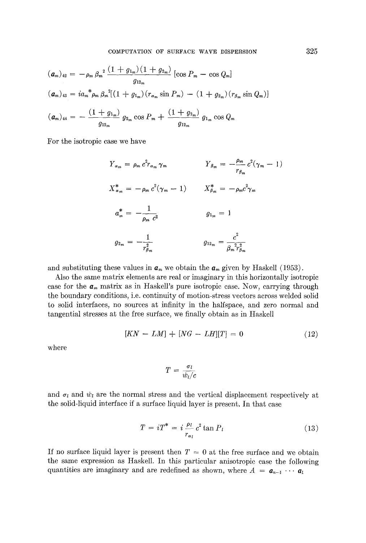$$
\begin{aligned}\n(\mathbf{a}_m)_{42} &= -\rho_m \beta_m^{-2} \frac{(1+g_{1_m})(1+g_{2_m})}{g_{12_m}} \left[ \cos P_m - \cos Q_m \right] \\
(\mathbf{a}_m)_{43} &= i a_m \, \phi_m \beta_m^{-2} \left[ (1+g_{1_m})(r_{\alpha_m} \sin P_m) - (1+g_{2_m})(r_{\beta_m} \sin Q_m) \right] \\
(\mathbf{a}_m)_{44} &= -\frac{(1+g_{1_m})}{g_{12_m}} \, g_{2_m} \cos P_m + \frac{(1+g_{2_m})}{g_{12_m}} \, g_{1_m} \cos Q_m\n\end{aligned}
$$

For the isotropic case we have

$$
Y_{\alpha_m} = \rho_m c^2 r_{\alpha_m} \gamma_m \qquad Y_{\beta_m} = -\frac{\rho_m}{r_{\beta_m}} c^2 (\gamma_m - 1)
$$
  

$$
X_{\alpha_m}^* = -\rho_m c^2 (\gamma_m - 1) \qquad X_{\beta_m}^* = -\rho_m c^2 \gamma_m
$$
  

$$
a_m^* = -\frac{1}{\rho_m c^2} \qquad g_{1_m} = 1
$$
  

$$
g_{2_m} = -\frac{1}{r_{\beta_m}^2} \qquad g_{12_m} = \frac{c^2}{\beta_m^2 r_{\beta_m}^2}
$$

and substituting these values in  $a_m$  we obtain the  $a_m$  given by Haskell (1953).

Also the same matrix elements are real or imaginary in this horizontally isotropie case for the  $a_m$  matrix as in Haskell's pure isotropic case. Now, carrying through the boundary conditions, i.e. continuity of motion-stress vectors across welded solid to solid interfaces, no sources at infinity in the halfspace, and zero normal and tangential stresses at the free surface, we finally obtain as in Haskell

$$
[KN - LM] + [NG - LH][T] = 0 \tag{12}
$$

where

$$
T = \frac{\sigma_l}{\dot{w}_l/c}
$$

and  $\sigma_l$  and  $\dot{w}_l$  are the normal stress and the vertical displacement respectively at the solid-liquid interface if a surface liquid layer is present. In that case

$$
T = iT^* = i \frac{\rho_l}{r_{\alpha_l}} c^2 \tan P_l \tag{13}
$$

If no surface liquid layer is present then  $T = 0$  at the free surface and we obtain the same expression as Haskell. In this particular anisotropic case the following quantities are imaginary and are redefined as shown, where  $A = a_{n-1} \cdots a_1$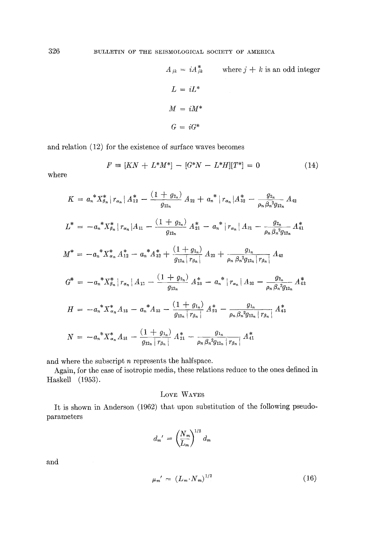$$
A_{jk} = iA_{jk}^{*}
$$
 where  $j + k$  is an odd integer  
\n
$$
L = iL^{*}
$$
  
\n
$$
M = iM^{*}
$$
  
\n
$$
G = iG^{*}
$$

and relation (12) for the existence of surface waves becomes

$$
F = [KN + L^*M^*] - [G^*N - L^*H][T^*] = 0 \tag{14}
$$

where

$$
K = a_n^* X_{\beta_n}^* | r_{\alpha_n} | A_{12}^* - \frac{(1 + g_{2_n})}{g_{12_n}} A_{22} + a_n^* | r_{\alpha_n} | A_{32}^* - \frac{g_{2_n}}{\rho_n \beta_n^2 g_{12_n}} A_{42}
$$
  
\n
$$
L^* = -a_n^* X_{\beta_n}^* | r_{\alpha_n} | A_{11} - \frac{(1 + g_{2_n})}{g_{12_n}} A_{21}^* - a_n^* | r_{\alpha_n} | A_{31} - \frac{g_{2_n}}{\rho_n \beta_n^2 g_{12_n}} A_{41}^*
$$
  
\n
$$
M^* = -a_n^* X_{\alpha_n}^* A_{12}^* - a_n^* A_{32}^* + \frac{(1 + g_{1_n})}{g_{12_n} | r_{\beta_n} |} A_{22} + \frac{g_{1n}}{\rho_n \beta_n^2 g_{12_n} | r_{\beta_n} |} A_{42}
$$
  
\n
$$
G^* = -a_n^* X_{\beta_n}^* | r_{\alpha_n} | A_{13} - \frac{(1 + g_{2_n})}{g_{12_n}} A_{23}^* - a_n^* | r_{\alpha_n} | A_{33} - \frac{g_{2_n}}{\rho_n \beta_n^2 g_{12_n}} A_{43}^*
$$
  
\n
$$
H = -a_n^* X_{\alpha_n}^* A_{13} - a_n^* A_{33} - \frac{(1 + g_{1_n})}{g_{12_n} | r_{\beta_n} |} A_{23}^* - \frac{g_{1_n}}{\rho_n \beta_n^2 g_{12_n} | r_{\beta_n} |} A_{43}^*
$$
  
\n
$$
N = -a_n^* X_{\alpha_n}^* A_{31} - \frac{(1 + g_{1_n})}{g_{12_n} | r_{\beta_n} |} A_{21}^* - \frac{g_{1_n}}{\rho_n \beta_n^2 g_{12_n} | r_{\beta_n} |} A_{41}^*
$$

and where the subscript  $n$  represents the halfspace.

Again, for the case of isotropic media, these relations reduce to the ones defined in Haskell (1953).

# Love WAVES

It is shown in Anderson (1962) that upon substitution of the following pseudoparameters

$$
d_m' = \left(\frac{N_m}{L_m}\right)^{1/2} d_m
$$

and

$$
\mu_m' = \left( L_m \cdot N_m \right)^{1/2} \tag{16}
$$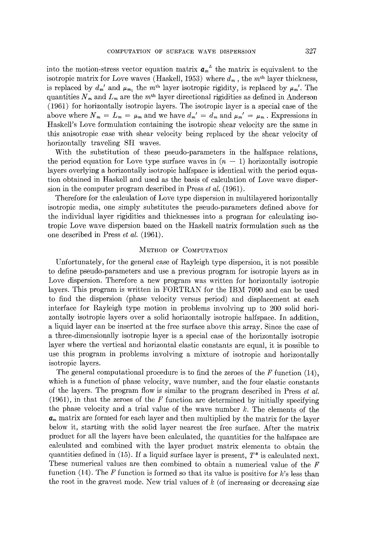into the motion-stress vector equation matrix  $a_m^L$  the matrix is equivalent to the isotropic matrix for Love waves (Haskell, 1953) where  $d_m$ , the m<sup>th</sup> layer thickness, is replaced by  $d_{m'}$  and  $\mu_{m_l}$ , the  $m^{\text{th}}$  layer isotropic rigidity, is replaced by  $\mu_{m'}$ . The quantities  $N_m$  and  $L_m$  are the m<sup>th</sup> layer directional rigidities as defined in Anderson (1961) for horizontally isotropie layers. The isotropic layer is a special ease of the above where  $N_m = L_m = \mu_m$  and we have  $d_{m'} = d_m$  and  $\mu_{m'} = \mu_m$ . Expressions in Haskell's Love formulation containing the isotropic shear velocity are the same in this anisotropic case with shear velocity being replaced by the shear velocity of horizontally traveling SH waves.

With the substitution of these pseudo-parameters in the halfspace relations, the period equation for Love type surface waves in  $(n - 1)$  horizontally isotropic layers overlying a horizontally isotropic halfspace is identical with the period equation obtained in Haskell and used as the basis of calculation of Love wave dispersion in the computer program described in Press *et al.* (1961).

Therefore for the calculation of Love type dispersion in multilayered horizontally isotropic media, one simply substitutes the pseudo-parameters defined above for the individual layer rigidities and thicknesses into a program for calculating isotropic Love wave dispersion based on the ttaskell matrix formulation such as the one described in Press *et al.* (1961).

#### METHOD OF COMPUTATION

Unfortunately, for the general ease of Rayleigh type dispersion, it is not possible to define pseudo-parameters and use a previous program for isotropic layers as in Love dispersion. Therefore a new program was written for horizontally isotropie layers. This program is written in FORTRAN for the IBM 7090 and can be used to find the dispersion (phase velocity versus period) and displacement at each interface for Rayleigh type motion in problems involving up to 200 solid horizontally isotropic layers over a solid horizontally isotropie halfspaee. In addition, a liquid layer can be inserted at the free surface above this array. Since the case of a three-dimensionally isotropic layer is a special ease of the horizontally isotropic layer where the vertical and horizontal elastic constants are equal, it is possible to use this program in problems involving a mixture of isotropic and horizontally isotropic layers.

The general computational procedure is to find the zeroes of the  $F$  function (14), which is a function of phase velocity, wave number, and the four elastic constants of the layers. The program flow is similar to the program described in Press *et al.*   $(1961)$ , in that the zeroes of the F function are determined by initially specifying the phase velocity and a trial value of the wave number  $k$ . The elements of the  $a_m$  matrix are formed for each layer and then multiplied by the matrix for the layer below it, starting with the solid layer nearest the free surface. After the matrix product for all the layers have been calculated, the quantities for the halfspaee are calculated and combined with the layer product matrix elements to obtain the quantities defined in (15). If a liquid surface layer is present,  $T^*$  is calculated next. These numerical values are then combined to obtain a numerical value of the  $F$ function (14). The  $F$  function is formed so that its value is positive for  $k$ 's less than the root in the gravest mode. New trial values of  $k$  (of increasing or decreasing size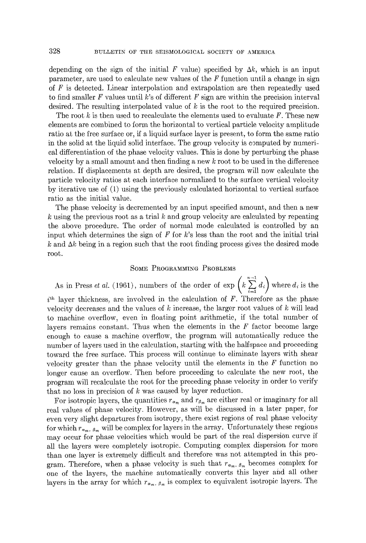depending on the sign of the initial F value) specified by  $\Delta k$ , which is an input parameter, are used to calculate new values of the  $F$  function until a change in sign of F is detected. Linear interpolation and extrapolation are then repeatedly used to find smaller F values until k's of different F sign are within the precision interval desired. The resulting interpolated value of  $k$  is the root to the required precision.

The root k is then used to recalculate the elements used to evaluate  $F$ . These new elements are combined to form the horizontal to vertical particle velocity amplitude ratio at the free surface or, if a liquid surface layer is present, to form the same ratio in the solid at the liquid solid interface. The group velocity is computed by numerical differentiation of the phase velocity values. This is done by perturbing the phase velocity by a small amount and then finding a new k root to be used in the difference relation. If displacements at depth are desired, the program will now calculate the particle velocity ratios at each interface normalized to the surface vertical velocity by iterative use of  $(1)$  using the previously calculated horizontal to vertical surface ratio as the initial value.

The phase velocity is decremented by an input specified amount, and then a new  $k$  using the previous root as a trial  $k$  and group velocity are calculated by repeating the above procedure. The order of normal mode calculated is controlled by an input which determines the sign of F for k's less than the root and the initial trial k and  $\Delta k$  being in a region such that the root finding process gives the desired mode root.

### **SOME PROGRAMMING PROBLEMS**

As in Press *et al.* (1961), numbers of the order of  $\exp\left(k\sum_{i=1}^{n-1}d_i\right)$  where  $d_i$  is the  $i<sup>th</sup>$  layer thickness, are involved in the calculation of F. Therefore as the phase velocity decreases and the values of  $k$  increase, the larger root values of  $k$  will lead to machine overflow, even in floating point arithmetic, if the total number of layers remains constant. Thus when the elements in the  $F$  factor become large enough to cause a machine overflow, the program will automatically reduce the number of layers used in the calculation, starting with the halfspace and proceeding toward the free surface. This process will continue to eliminate layers with shear velocity greater than the phase velocity until the elements in the  $F$  function no longer cause an overflow. Then before proceeding to calculate the new root, the program will recalculate the root for the preceding phase velocity in order to verify that no loss in precision of  $k$  was caused by layer reduction.

For isotropic layers, the quantities  $r_{\alpha_m}$  and  $r_{\beta_m}$  are either real or imaginary for all real values of phase velocity. However, as will be discussed in a later paper, for even very slight departures from isotropy, there exist regions of real phase velocity for which  $r_{\alpha_m, \beta_m}$  will be complex for layers in the array. Unfortunately these regions may occur for phase velocities which would be part of the real dispersion curve if all the layers were completely isotropie. Computing complex dispersion for more than one layer is extremely difficult and therefore was not attempted in this program. Therefore, when a phase velocity is such that  $r_{\alpha_m, \beta_m}$  becomes complex for one of the layers, the machine automatically converts this layer and all other layers in the array for which  $r_{\alpha_m,\beta_m}$  is complex to equivalent isotropic layers. The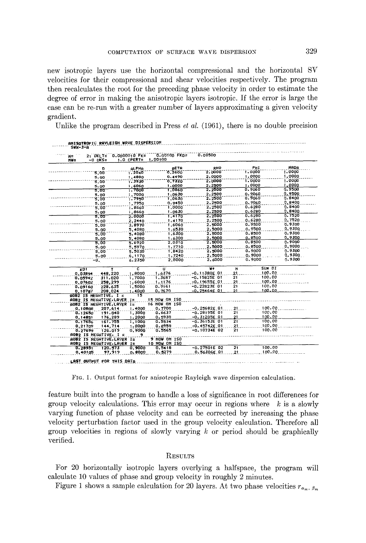new isotropic layers use the horizontal compressional and the horizontal SV velocities for their compressional and shear velocities respectively. The program then recalculates the root for the preceding phase velocity in order to estimate the degree of error in making the anisotropic layers isotropic. If the error is large the case can be re-run with a greater number of layers approximating a given velocity gradient.

Unlike the program described in Press  $et al. (1961)$ , there is no double precision

|           |                         |                                      | 0.00100 FKD=  | 0.00500         |                 |        |             |
|-----------|-------------------------|--------------------------------------|---------------|-----------------|-----------------|--------|-------------|
| N=<br>NU= | -0 DKS=                 | 21 DELT= 0.0000010 FK=<br>1.0 CPERT= | 1,00100       |                 |                 |        |             |
|           | D.                      | ALPHO                                | BETR          | RHO             |                 | PHI    | <b>NADA</b> |
|           | 3,00                    | 1.2040                               | 6,2600        | 2.0000          |                 | 1,0000 | 1,0000      |
|           | 5.00                    | 1.4880                               | 0.4490        | 2.0000          |                 | 1,0000 | 1.0000      |
|           | 3,00                    | 1,3930                               | 0.7320        | 2.0000          |                 | 1.0000 | 1,0000      |
|           | 5.00                    | 1.6060                               | 1,0000        | 2.2500          |                 | 1,0000 | 1.0000      |
|           | 5.OC                    | 7.7000                               | 1.0860        | 2.2500          |                 | 0.9060 | 1,9500      |
|           | 5.00                    | 1.7000                               | 1.0630        | 2.2500          |                 | 0.9060 | 0.9500      |
|           | 3.00                    | : .7950                              | 1,0630        | 2.2500          |                 | 0.9060 | 0.8400      |
|           | 5.n0                    | 1.7950                               | 0.9450        | 2.2500          |                 | 0.9060 | 0.8400      |
|           | 5.00                    | 1.8660                               | 1,0000        | 2,2500          |                 | 0.6280 | 0.8400      |
|           | 5.00                    | 1.8660                               | 1.0630        | 2.2500          |                 | 0.6280 | 0.8400      |
|           | 5.00                    | 2.0000                               | 1.4170        | 2,2500          |                 | 0.6280 | 0.7520      |
|           | 5.00                    | 2.2440                               | 1.4170        | 2.2500          |                 | 0.6280 | 0.7520      |
|           | 5,00                    | 3.8970                               | 1,6060        | 2.5000          |                 | 0.9500 | 0.9300      |
|           | 5.00                    | 5.4080                               | 1.6530        | 2.5000          |                 | 0.9500 | 3.9300      |
|           | 5.00                    | 5.4080                               | 1,6300        | 2.5000          |                 | 0.8500 | 0.9300      |
|           | 5.00                    | 5,4080                               | 1,6300        | 2.5000          |                 | 0.8500 | 0.9300      |
|           | 5.00                    | 5.6920                               | 2.0310        | 2.5000          |                 | 0.8500 | 0.9000      |
|           | 5.00                    | 5.5970                               | 1,7710        | 2.5000          |                 | 0.8500 | 0.9000      |
|           | 5.00                    | 5.5030                               | 1,8420        | 2.5000          |                 | 0.9000 | 1.9300      |
|           | 5.00                    | 6.1170                               | 1,7240        | 2.5000          |                 | 0.9000 | 0.9300      |
|           | -0,                     | 6.2350                               | 2.0000        | 2,6000          |                 | 0.9000 | 0.9300      |
| KD1       |                         | c<br>Ŧ                               | Ħ             | ₩÷              | N               | SUM DI |             |
| 0.03891   |                         | 1,8000<br>448.220                    | 1.6376        | $-0.11380E$ 01  | -21             | 100.00 |             |
| 0.05942   |                         | 1.7000<br>311.020                    | 1.3697        | $-0.15825E$ 01  | 21              | 100.00 |             |
| 0.07602   |                         | 258.299<br>1.6000                    | 1,1176        | $-0.19655E$ 01  | 21              | 100.00 |             |
| 0.09160   |                         | 223.635<br>1.5000                    | 0.9161        | $-0.22823E 01$  | 21              | 100.00 |             |
| 0.10787   |                         | 208,024<br>$+1.4000$                 | 0.7670        | $-0.25464E$ 01  | 21              | 100.00 |             |
|           | $90B2$ IS NEGRTIVE, I = | 15<br>AOB2 IS NEGATIVE. LAYER I=     | 15 NOW ON ISO |                 |                 |        |             |
|           |                         | AOB2 IS NEGATIVE, LAYER I=           | 16 NOW ON ISO |                 |                 |        |             |
| 0.10808   |                         | 207.614<br>1.4000                    | 0.7700        | $-0.25682E$ 01  | 21              | 100.00 |             |
| 0.12650   |                         | 1,3000<br>191.040                    | 0.6637        | $-0.28195E$ 01  | 21              | 100.00 |             |
| 0,14851   |                         | 176,289<br>1,2000                    | 0.5930        | $-0, 31205E$ 01 | 21              | 100.00 |             |
| 0.17656   |                         | 1.1000<br>161.755                    | 0.5534        | $-0.36153E$ 01  | $\overline{21}$ | 100.00 |             |
| 0.21709   |                         | 144.714<br>1.0000                    | 0.8959        | $-0.45742E 01$  | 21              | 100.00 |             |
| 0.27699   |                         | 126.019<br>0.9000                    | 0.5565        | $-0.10734E 02$  | 21              | 100.00 |             |
|           | AOB2 IS NEGATIVE, I =   | 9                                    |               |                 |                 |        |             |
|           |                         | AOB2 IS NEGHTIVE, LAYER I=           | 9 NOW ON 150  |                 |                 |        |             |
|           | AOB2 IS NEGATIVE LAYER  | I=                                   | 10 NOW ON 150 |                 |                 |        |             |
| 0.28951   |                         | 0.9000<br>120.573                    | 0.5418        | $-0.27501E$ 02  | 21              | 100.00 |             |
| 0,40105   |                         | 97,919<br>0.0000                     | 0.5279        | 0.56306E 01     | 21              | 100.00 |             |

FIG. 1. Output format for anisotropic Rayleigh wave dispersion calculation.

feature built into the program to handle a loss of significance in root differences for group velocity calculations. This error may occur in regions where  $k$  is a slowly varying function of phase velocity and can be corrected by increasing the phase velocity perturbation factor used in the group velocity calculation. Therefore all group velocities in regions of slowly varying  $k$  or period should be graphically verified.

### **RESULTS**

For 20 horizontally isotropic layers overlying a halfspace, the program will calculate 10 values of phase and group velocity in roughly 2 minutes.

Figure 1 shows a sample calculation for 20 layers. At two phase velocities  $r_{\alpha_m, \beta_m}$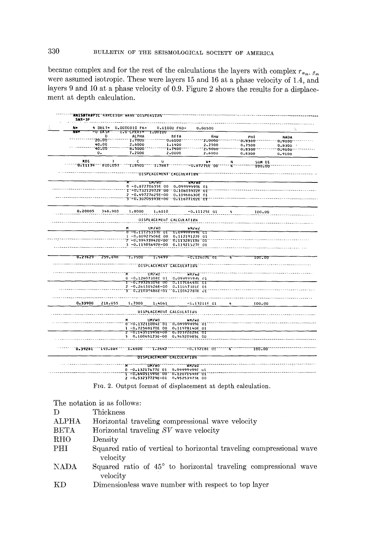became complex and for the rest of the calculations the layers with complex  $r_{\alpha_m, \beta_m}$ were assumed isotropic. These were layers 15 and 16 at a phase velocity of 1.4, and layers 9 and 10 at a phase velocity of 0.9. Figure 2 shows the results for a displacement at depth calculation.

| N=      |                | 4 DELT= 0.0000010 FK= | 0.01000 FKD=                                                           | 0.00500                                                                   |                                                                                                                                                                     | ЛX.              |
|---------|----------------|-----------------------|------------------------------------------------------------------------|---------------------------------------------------------------------------|---------------------------------------------------------------------------------------------------------------------------------------------------------------------|------------------|
| ਸਵ      | =ਹ⊤ਰ⊼ਤ≖        | 1.0 CPERT= 1.00100    |                                                                        |                                                                           |                                                                                                                                                                     |                  |
|         | o              | <b>ALPHA</b>          | <b>BETA</b>                                                            | Rнø                                                                       | PHI                                                                                                                                                                 | <b>NADA</b>      |
|         | -20.00         | T.7000                | -010100-                                                               | -210000---                                                                | -0-8300-                                                                                                                                                            | 0.9100 - - - - - |
|         | 40.00<br>40.00 | 2,6000<br>$-6.5000$   | 1.1400<br>$-1.7400$                                                    | 2.2500<br>"2.5000" -----                                                  | 0.7500                                                                                                                                                              | $0.8300 -$       |
|         | о.             | 7.2000                | 2,0000                                                                 | 2,6000                                                                    | $-0.8300 -$<br>0.8300                                                                                                                                               | -0.9100-         |
|         |                |                       |                                                                        |                                                                           |                                                                                                                                                                     | 0.9100           |
| KD1     | п              | c                     | υ                                                                      | u.                                                                        | N<br>SUM DI                                                                                                                                                         |                  |
|         |                |                       |                                                                        | "0+11134"""610+057""""1+8500""""1+7887"""""""""0+87271E"00"""""4""""""""" | <b>100.00.</b>                                                                                                                                                      |                  |
|         |                |                       | ""UISPLACEMENT"CACCULATIUN"                                            |                                                                           |                                                                                                                                                                     |                  |
|         |                |                       |                                                                        |                                                                           |                                                                                                                                                                     |                  |
|         |                |                       | ਰਸ/ਮਰ                                                                  | <b>WRZWE</b>                                                              |                                                                                                                                                                     |                  |
|         |                |                       | 0-0.87270635E 00 0.09999999E 01                                        |                                                                           |                                                                                                                                                                     |                  |
|         |                |                       | T"=0.73212972E"00""0.10603922F"01"<br>2 -0.49727625E-00 0.10966630E 01 |                                                                           |                                                                                                                                                                     |                  |
|         |                |                       | 3--0,30205593E=00-0,11677102E-0T                                       |                                                                           |                                                                                                                                                                     |                  |
|         |                |                       |                                                                        |                                                                           |                                                                                                                                                                     |                  |
| 0.20005 | 348.980        | 1.8000                | 1.6810                                                                 | $-0.11125E$ 01                                                            |                                                                                                                                                                     |                  |
|         |                |                       |                                                                        |                                                                           | 4<br>100.00                                                                                                                                                         |                  |
|         |                |                       | DISPLACEMENT CALCULATION                                               |                                                                           |                                                                                                                                                                     |                  |
|         |                |                       |                                                                        |                                                                           |                                                                                                                                                                     |                  |
|         |                | M                     | UM/WO                                                                  | <b>HM/WZ</b>                                                              |                                                                                                                                                                     |                  |
|         |                |                       | 0 -0.11125333E 01 0.09999999E C1<br>1 -0.80927506E 00 0.11219122E 01   |                                                                           |                                                                                                                                                                     |                  |
|         |                |                       | Z -U,39433942E-00" 0.11328118E OT                                      |                                                                           |                                                                                                                                                                     |                  |
|         |                |                       | 3 -0.11585692E-00 0.11921527F 01                                       |                                                                           |                                                                                                                                                                     |                  |
|         |                |                       |                                                                        |                                                                           |                                                                                                                                                                     |                  |
| 0.21629 | 259.895        | 1.7500                | T.5499                                                                 | $-0.12607E/01$                                                            | 4<br>100.00                                                                                                                                                         |                  |
|         |                |                       |                                                                        |                                                                           |                                                                                                                                                                     |                  |
|         |                |                       | <b>AND TO ISPEACEMENT CALCULATION</b>                                  |                                                                           |                                                                                                                                                                     |                  |
|         |                |                       | "A" """ "" "ON/WO" "" "" "" "WM/WD"                                    |                                                                           |                                                                                                                                                                     |                  |
|         |                |                       | 0 -0.12607308E 01 0.09999999E 01                                       |                                                                           |                                                                                                                                                                     |                  |
|         |                |                       | 1 -0.79325305E 00 0.11706448E 01                                       |                                                                           |                                                                                                                                                                     |                  |
|         |                |                       | 2 -0.26131526E-00 0.11657381F 01                                       |                                                                           |                                                                                                                                                                     |                  |
|         |                |                       | 3 0.21039486E-01 0.11042780E JI                                        |                                                                           |                                                                                                                                                                     |                  |
|         |                |                       |                                                                        |                                                                           |                                                                                                                                                                     |                  |
| 0.33900 | 218.055        | 1,7000                | 1.4061                                                                 | $-0.132116$ 01                                                            | 100.00                                                                                                                                                              |                  |
|         |                |                       | DISPLACEMENT CALCULATION                                               |                                                                           |                                                                                                                                                                     |                  |
|         |                |                       |                                                                        |                                                                           |                                                                                                                                                                     |                  |
|         |                |                       | UM/WO                                                                  | <b>WM/W6</b>                                                              |                                                                                                                                                                     |                  |
|         |                |                       | 0-13211004E-01 0-09999999E-01                                          |                                                                           |                                                                                                                                                                     |                  |
|         |                |                       | 1 -0.72569170E 00 0.11978140E 01<br>Z = 0.14351595E=00 0.10372628E 01  |                                                                           |                                                                                                                                                                     |                  |
|         |                |                       | 3 0.10065123E-00 0.96520985E 00                                        |                                                                           |                                                                                                                                                                     |                  |
|         |                |                       |                                                                        |                                                                           |                                                                                                                                                                     |                  |
|         |                |                       |                                                                        |                                                                           |                                                                                                                                                                     |                  |
|         |                |                       |                                                                        |                                                                           | """"0+39281 <sup>---</sup> 193+884 <sup>-----</sup> 1+6500 <sup>----</sup> 1+2642 <sup>---------------113218E<sup>-</sup>01------4--------100+00-------------</sup> |                  |
|         |                |                       | <b>DISPLACEMENT CALCULATION</b>                                        |                                                                           |                                                                                                                                                                     |                  |
|         |                |                       |                                                                        |                                                                           |                                                                                                                                                                     |                  |
|         |                |                       | 0 -0.13217677E 01 0.09999999F ul                                       |                                                                           |                                                                                                                                                                     |                  |

FIG. 2. Output format of displacement at depth calculation.

The notation is as follows:

| D            | Thickness                                                                        |  |  |  |  |  |  |
|--------------|----------------------------------------------------------------------------------|--|--|--|--|--|--|
| <b>ALPHA</b> | Horizontal traveling compressional wave velocity                                 |  |  |  |  |  |  |
| <b>BETA</b>  | Horizontal traveling SV wave velocity                                            |  |  |  |  |  |  |
| RHO          | Density                                                                          |  |  |  |  |  |  |
| PHI          | Squared ratio of vertical to horizontal traveling compressional wave<br>velocity |  |  |  |  |  |  |
| <b>NADA</b>  | Squared ratio of 45° to horizontal traveling compressional wave<br>velocity      |  |  |  |  |  |  |
| КD           | Dimensionless wave number with respect to top layer                              |  |  |  |  |  |  |

330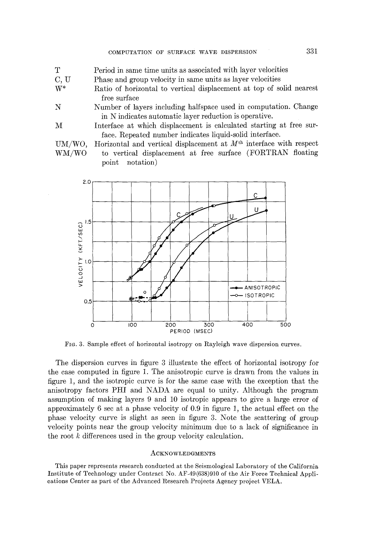- T Period in same time units as associated with layer velocities
- C, U Phase and group velocity in same units as layer velocities
- W\* Ratio of horizontal to vertical displacement at top of solid nearest free surface
- N Number of layers including halfspace used in computation. Change in N indicates automatic layer reduction is operative.
- **M**  Interface at which displacement is calculated starting at free surface. Repeated number indicates liquid-solid interface.

**vM/wo, wM/wo**  Horizontal and vertical displacement at  $M<sup>th</sup>$  interface with respect to vertical displacement at free surface (FORTRAN floating point notation)



FIG. 3. Sample effect of horizontal isotropy on Rayleigh wave dispersion curves.

The dispersion curves in figure 3 illustrate the effect of horizontal isotropy for the case computed in figure 1. The anisotropic curve is drawn from the values in figure 1, and the isotropic curve is for the same case with the exception that the anisotropy factors PHI and NADA are equal to unity. Although the program assumption of making layers 9 and 10 isotropic appears to give a large error of approximately 6 sec at a phase velocity of 0.9 in figure 1, the actual effect on the phase velocity curve is slight as seen in figure 3. Note the scattering of group velocity points near the group velocity minimum due to a lack of significance in the root k differences used in the group velocity calculation.

#### ACKNOWLEDGMENTS

This paper represents research conducted at the Seismological Laboratory of the California Institute of Technology under Contract No. AF-49(638)910 of the Air Force Technical Appllcations Center as part of the Advanced Research Projects Agency project VELA.